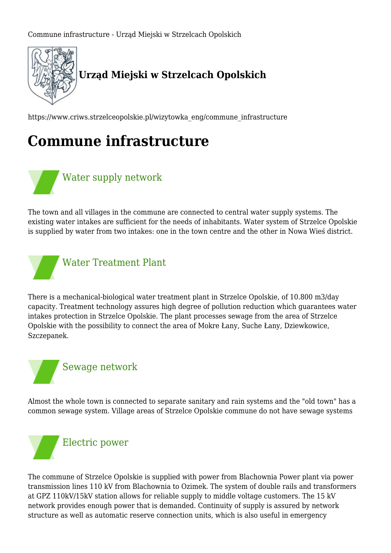

https://www.criws.strzelceopolskie.pl/wizytowka\_eng/commune\_infrastructure

## **Commune infrastructure**



The town and all villages in the commune are connected to central water supply systems. The existing water intakes are sufficient for the needs of inhabitants. Water system of Strzelce Opolskie is supplied by water from two intakes: one in the town centre and the other in Nowa Wieś district.



There is a mechanical-biological water treatment plant in Strzelce Opolskie, of 10.800 m3/day capacity. Treatment technology assures high degree of pollution reduction which guarantees water intakes protection in Strzelce Opolskie. The plant processes sewage from the area of Strzelce Opolskie with the possibility to connect the area of Mokre Łany, Suche Łany, Dziewkowice, Szczepanek.



Almost the whole town is connected to separate sanitary and rain systems and the "old town" has a common sewage system. Village areas of Strzelce Opolskie commune do not have sewage systems



The commune of Strzelce Opolskie is supplied with power from Blachownia Power plant via power transmission lines 110 kV from Blachownia to Ozimek. The system of double rails and transformers at GPZ 110kV/15kV station allows for reliable supply to middle voltage customers. The 15 kV network provides enough power that is demanded. Continuity of supply is assured by network structure as well as automatic reserve connection units, which is also useful in emergency